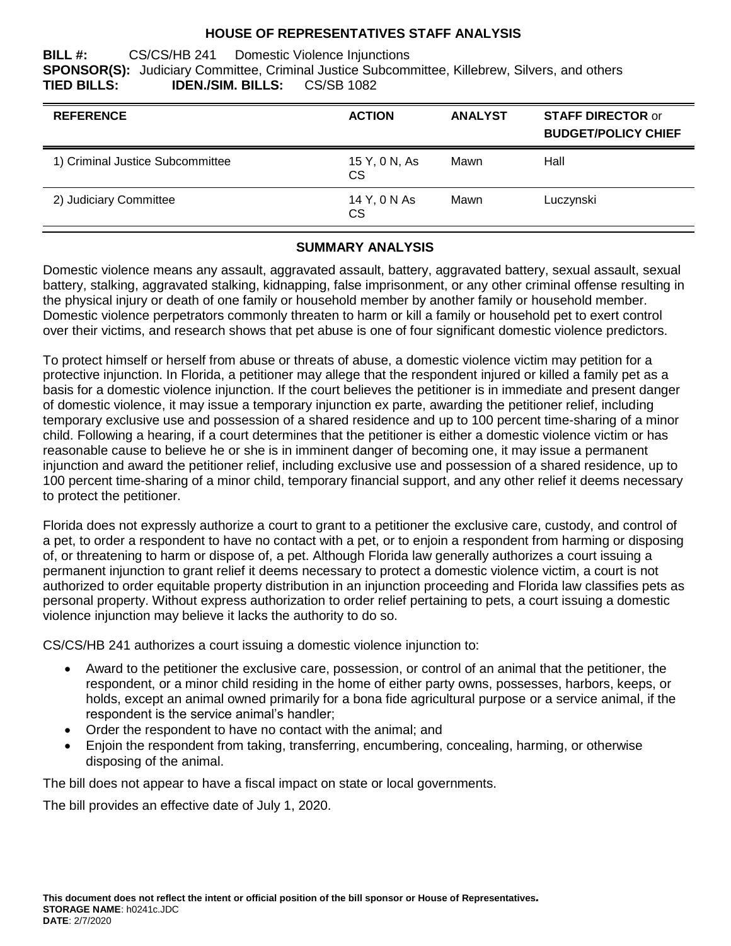## **HOUSE OF REPRESENTATIVES STAFF ANALYSIS**

**BILL #:** CS/CS/HB 241 Domestic Violence Injunctions **SPONSOR(S):** Judiciary Committee, Criminal Justice Subcommittee, Killebrew, Silvers, and others **TIED BILLS: IDEN./SIM. BILLS:** CS/SB 1082

| <b>REFERENCE</b>                 | <b>ACTION</b>       | <b>ANALYST</b> | <b>STAFF DIRECTOR or</b><br><b>BUDGET/POLICY CHIEF</b> |
|----------------------------------|---------------------|----------------|--------------------------------------------------------|
| 1) Criminal Justice Subcommittee | 15 Y, 0 N, As<br>CS | Mawn           | Hall                                                   |
| 2) Judiciary Committee           | 14 Y, 0 N As<br>CS  | Mawn           | Luczynski                                              |

#### **SUMMARY ANALYSIS**

Domestic violence means any assault, aggravated assault, battery, aggravated battery, sexual assault, sexual battery, stalking, aggravated stalking, kidnapping, false imprisonment, or any other criminal offense resulting in the physical injury or death of one family or household member by another family or household member. Domestic violence perpetrators commonly threaten to harm or kill a family or household pet to exert control over their victims, and research shows that pet abuse is one of four significant domestic violence predictors.

To protect himself or herself from abuse or threats of abuse, a domestic violence victim may petition for a protective injunction. In Florida, a petitioner may allege that the respondent injured or killed a family pet as a basis for a domestic violence injunction. If the court believes the petitioner is in immediate and present danger of domestic violence, it may issue a temporary injunction ex parte, awarding the petitioner relief, including temporary exclusive use and possession of a shared residence and up to 100 percent time-sharing of a minor child. Following a hearing, if a court determines that the petitioner is either a domestic violence victim or has reasonable cause to believe he or she is in imminent danger of becoming one, it may issue a permanent injunction and award the petitioner relief, including exclusive use and possession of a shared residence, up to 100 percent time-sharing of a minor child, temporary financial support, and any other relief it deems necessary to protect the petitioner.

Florida does not expressly authorize a court to grant to a petitioner the exclusive care, custody, and control of a pet, to order a respondent to have no contact with a pet, or to enjoin a respondent from harming or disposing of, or threatening to harm or dispose of, a pet. Although Florida law generally authorizes a court issuing a permanent injunction to grant relief it deems necessary to protect a domestic violence victim, a court is not authorized to order equitable property distribution in an injunction proceeding and Florida law classifies pets as personal property. Without express authorization to order relief pertaining to pets, a court issuing a domestic violence injunction may believe it lacks the authority to do so.

CS/CS/HB 241 authorizes a court issuing a domestic violence injunction to:

- Award to the petitioner the exclusive care, possession, or control of an animal that the petitioner, the respondent, or a minor child residing in the home of either party owns, possesses, harbors, keeps, or holds, except an animal owned primarily for a bona fide agricultural purpose or a service animal, if the respondent is the service animal's handler;
- Order the respondent to have no contact with the animal; and
- Enjoin the respondent from taking, transferring, encumbering, concealing, harming, or otherwise disposing of the animal.

The bill does not appear to have a fiscal impact on state or local governments.

The bill provides an effective date of July 1, 2020.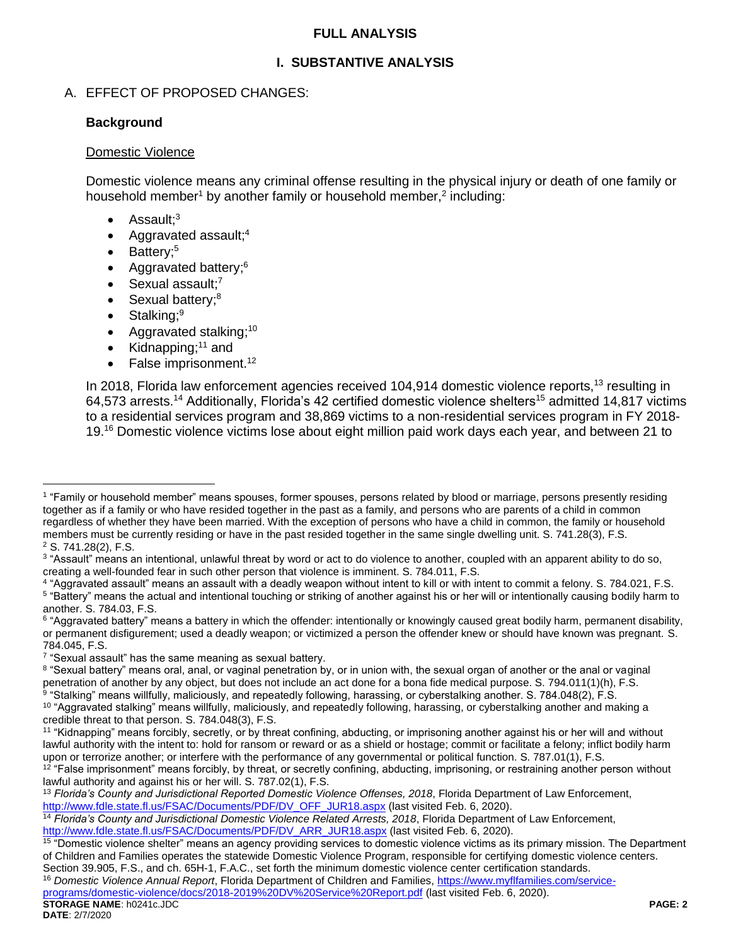## **FULL ANALYSIS**

# **I. SUBSTANTIVE ANALYSIS**

# A. EFFECT OF PROPOSED CHANGES:

# **Background**

#### Domestic Violence

Domestic violence means any criminal offense resulting in the physical injury or death of one family or household member<sup>1</sup> by another family or household member,<sup>2</sup> including:

- $\bullet$  Assault;<sup>3</sup>
- Aggravated assault;<sup>4</sup>
- Battery;<sup>5</sup>
- Aggravated battery;<sup>6</sup>
- $\bullet$  Sexual assault;<sup>7</sup>
- Sexual battery;<sup>8</sup>
- Stalking; $9$
- Aggravated stalking;<sup>10</sup>
- Kidnapping; $11$  and
- False imprisonment.<sup>12</sup>

In 2018, Florida law enforcement agencies received 104,914 domestic violence reports,<sup>13</sup> resulting in 64,573 arrests.<sup>14</sup> Additionally, Florida's 42 certified domestic violence shelters<sup>15</sup> admitted 14,817 victims to a residential services program and 38,869 victims to a non-residential services program in FY 2018- 19.<sup>16</sup> Domestic violence victims lose about eight million paid work days each year, and between 21 to

**STORAGE NAME**: h0241c.JDC **PAGE: 2** [programs/domestic-violence/docs/2018-2019%20DV%20Service%20Report.pdf](https://www.myflfamilies.com/service-programs/domestic-violence/docs/2018-2019%20DV%20Service%20Report.pdf) (last visited Feb. 6, 2020).

 $\overline{a}$ 1 "Family or household member" means spouses, former spouses, persons related by blood or marriage, persons presently residing together as if a family or who have resided together in the past as a family, and persons who are parents of a child in common regardless of whether they have been married. With the exception of persons who have a child in common, the family or household members must be currently residing or have in the past resided together in the same single dwelling unit. S. 741.28(3), F.S. <sup>2</sup> S. 741.28(2), F.S.

<sup>&</sup>lt;sup>3</sup> "Assault" means an intentional, unlawful threat by word or act to do violence to another, coupled with an apparent ability to do so, creating a well-founded fear in such other person that violence is imminent. S. 784.011, F.S.

<sup>4</sup> "Aggravated assault" means an assault with a deadly weapon without intent to kill or with intent to commit a felony. S. 784.021, F.S. <sup>5</sup> "Battery" means the actual and intentional touching or striking of another against his or her will or intentionally causing bodily harm to another. S. 784.03, F.S.

<sup>&</sup>lt;sup>6</sup> "Aggravated battery" means a battery in which the offender: intentionally or knowingly caused great bodily harm, permanent disability, or permanent disfigurement; used a deadly weapon; or victimized a person the offender knew or should have known was pregnant. S. 784.045, F.S.

<sup>&</sup>lt;sup>7</sup> "Sexual assault" has the same meaning as sexual battery.

<sup>8 &</sup>quot;Sexual battery" means oral, anal, or vaginal penetration by, or in union with, the sexual organ of another or the anal or vaginal penetration of another by any object, but does not include an act done for a bona fide medical purpose. S. 794.011(1)(h), F.S.

 $^9$  "Stalking" means willfully, maliciously, and repeatedly following, harassing, or cyberstalking another. S. 784.048(2), F.S.

<sup>&</sup>lt;sup>10</sup> "Aggravated stalking" means willfully, maliciously, and repeatedly following, harassing, or cyberstalking another and making a credible threat to that person. S. 784.048(3), F.S.

<sup>&</sup>lt;sup>11</sup> "Kidnapping" means forcibly, secretly, or by threat confining, abducting, or imprisoning another against his or her will and without lawful authority with the intent to: hold for ransom or reward or as a shield or hostage; commit or facilitate a felony; inflict bodily harm upon or terrorize another; or interfere with the performance of any governmental or political function. S. 787.01(1), F.S.

 $12$  "False imprisonment" means forcibly, by threat, or secretly confining, abducting, imprisoning, or restraining another person without lawful authority and against his or her will. S. 787.02(1), F.S.

<sup>13</sup> *Florida's County and Jurisdictional Reported Domestic Violence Offenses, 2018*, Florida Department of Law Enforcement, [http://www.fdle.state.fl.us/FSAC/Documents/PDF/DV\\_OFF\\_JUR18.aspx](http://www.fdle.state.fl.us/FSAC/Documents/PDF/DV_OFF_JUR18.aspx) (last visited Feb. 6, 2020).

<sup>14</sup> *Florida's County and Jurisdictional Domestic Violence Related Arrests, 2018*, Florida Department of Law Enforcement, [http://www.fdle.state.fl.us/FSAC/Documents/PDF/DV\\_ARR\\_JUR18.aspx](http://www.fdle.state.fl.us/FSAC/Documents/PDF/DV_ARR_JUR18.aspx) (last visited Feb. 6, 2020).

<sup>&</sup>lt;sup>15</sup> "Domestic violence shelter" means an agency providing services to domestic violence victims as its primary mission. The Department of Children and Families operates the statewide Domestic Violence Program, responsible for certifying domestic violence centers.

Section 39.905, F.S., and ch. 65H-1, F.A.C., set forth the minimum domestic violence center certification standards. <sup>16</sup> *Domestic Violence Annual Report*, Florida Department of Children and Families, [https://www.myflfamilies.com/service-](https://www.myflfamilies.com/service-programs/domestic-violence/docs/2018-2019%20DV%20Service%20Report.pdf)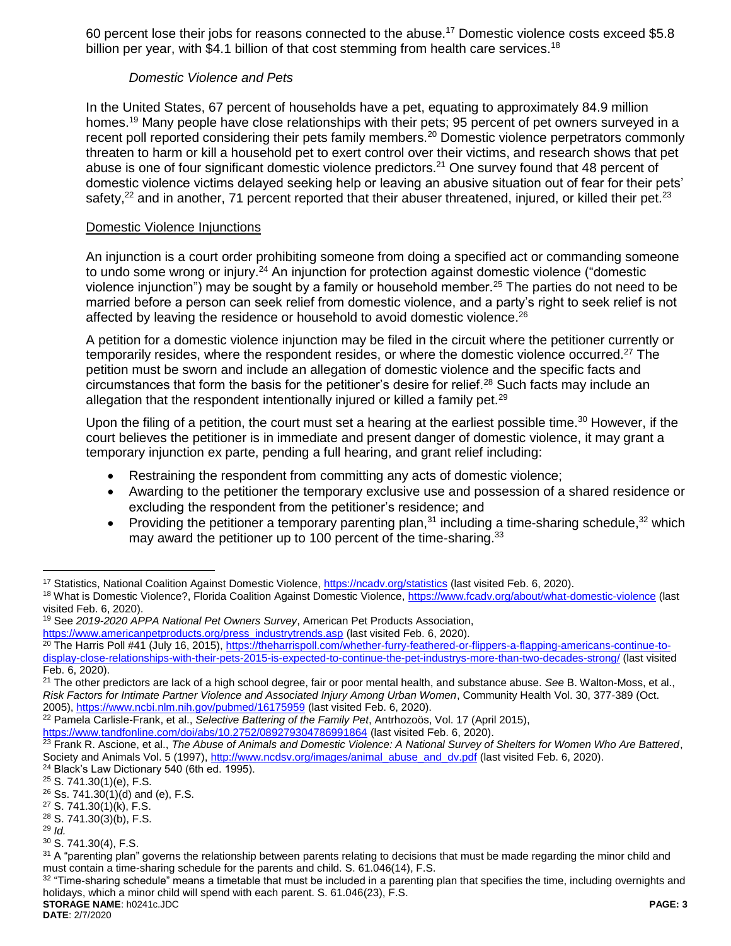60 percent lose their jobs for reasons connected to the abuse.<sup>17</sup> Domestic violence costs exceed \$5.8 billion per year, with \$4.1 billion of that cost stemming from health care services.<sup>18</sup>

# *Domestic Violence and Pets*

In the United States, 67 percent of households have a pet, equating to approximately 84.9 million homes.<sup>19</sup> Many people have close relationships with their pets; 95 percent of pet owners surveyed in a recent poll reported considering their pets family members.<sup>20</sup> Domestic violence perpetrators commonly threaten to harm or kill a household pet to exert control over their victims, and research shows that pet abuse is one of four significant domestic violence predictors.<sup>21</sup> One survey found that 48 percent of domestic violence victims delayed seeking help or leaving an abusive situation out of fear for their pets' safety,<sup>22</sup> and in another, 71 percent reported that their abuser threatened, injured, or killed their pet.<sup>23</sup>

## Domestic Violence Injunctions

An injunction is a court order prohibiting someone from doing a specified act or commanding someone to undo some wrong or injury.<sup>24</sup> An injunction for protection against domestic violence ("domestic violence injunction") may be sought by a family or household member.<sup>25</sup> The parties do not need to be married before a person can seek relief from domestic violence, and a party's right to seek relief is not affected by leaving the residence or household to avoid domestic violence.<sup>26</sup>

A petition for a domestic violence injunction may be filed in the circuit where the petitioner currently or temporarily resides, where the respondent resides, or where the domestic violence occurred.<sup>27</sup> The petition must be sworn and include an allegation of domestic violence and the specific facts and circumstances that form the basis for the petitioner's desire for relief.<sup>28</sup> Such facts may include an allegation that the respondent intentionally injured or killed a family pet.<sup>29</sup>

Upon the filing of a petition, the court must set a hearing at the earliest possible time.<sup>30</sup> However, if the court believes the petitioner is in immediate and present danger of domestic violence, it may grant a temporary injunction ex parte, pending a full hearing, and grant relief including:

- Restraining the respondent from committing any acts of domestic violence;
- Awarding to the petitioner the temporary exclusive use and possession of a shared residence or excluding the respondent from the petitioner's residence; and
- Providing the petitioner a temporary parenting plan, $31$  including a time-sharing schedule, $32$  which may award the petitioner up to 100 percent of the time-sharing.<sup>33</sup>

 $\overline{a}$ 

<sup>&</sup>lt;sup>17</sup> Statistics, National Coalition Against Domestic Violence,<https://ncadv.org/statistics> (last visited Feb. 6, 2020).

<sup>&</sup>lt;sup>18</sup> What is Domestic Violence?, Florida Coalition Against Domestic Violence,<https://www.fcadv.org/about/what-domestic-violence> (last visited Feb. 6, 2020).

<sup>19</sup> See *2019-2020 APPA National Pet Owners Survey*, American Pet Products Association,

[https://www.americanpetproducts.org/press\\_industrytrends.asp](https://www.americanpetproducts.org/press_industrytrends.asp) (last visited Feb. 6, 2020).

<sup>&</sup>lt;sup>20</sup> The Harris Poll #41 (July 16, 2015), [https://theharrispoll.com/whether-furry-feathered-or-flippers-a-flapping-americans-continue-to](https://theharrispoll.com/whether-furry-feathered-or-flippers-a-flapping-americans-continue-to-display-close-relationships-with-their-pets-2015-is-expected-to-continue-the-pet-industrys-more-than-two-decades-strong/)[display-close-relationships-with-their-pets-2015-is-expected-to-continue-the-pet-industrys-more-than-two-decades-strong/](https://theharrispoll.com/whether-furry-feathered-or-flippers-a-flapping-americans-continue-to-display-close-relationships-with-their-pets-2015-is-expected-to-continue-the-pet-industrys-more-than-two-decades-strong/) (last visited Feb. 6, 2020).

<sup>21</sup> The other predictors are lack of a high school degree, fair or poor mental health, and substance abuse. *See* B. Walton-Moss, et al., *Risk Factors for Intimate Partner Violence and Associated Injury Among Urban Women*, Community Health Vol. 30, 377-389 (Oct. 2005),<https://www.ncbi.nlm.nih.gov/pubmed/16175959> (last visited Feb. 6, 2020).

<sup>22</sup> Pamela Carlisle-Frank, et al., *Selective Battering of the Family Pet*, Antrhozoös, Vol. 17 (April 2015),

<https://www.tandfonline.com/doi/abs/10.2752/089279304786991864> (last visited Feb. 6, 2020). <sup>23</sup> Frank R. Ascione, et al., *The Abuse of Animals and Domestic Violence: A National Survey of Shelters for Women Who Are Battered*, Society and Animals Vol. 5 (1997), [http://www.ncdsv.org/images/animal\\_abuse\\_and\\_dv.pdf](http://www.ncdsv.org/images/animal_abuse_and_dv.pdf) (last visited Feb. 6, 2020).

<sup>24</sup> Black's Law Dictionary 540 (6th ed. 1995).

<sup>25</sup> S. 741.30(1)(e), F.S.

<sup>26</sup> Ss. 741.30(1)(d) and (e), F.S.

<sup>27</sup> S. 741.30(1)(k), F.S.

<sup>28</sup> S. 741.30(3)(b), F.S. <sup>29</sup> *Id.*

<sup>30</sup> S. 741.30(4), F.S.

<sup>&</sup>lt;sup>31</sup> A "parenting plan" governs the relationship between parents relating to decisions that must be made regarding the minor child and must contain a time-sharing schedule for the parents and child. S. 61.046(14), F.S.

**STORAGE NAME**: h0241c.JDC **PAGE: 3**  $32$  "Time-sharing schedule" means a timetable that must be included in a parenting plan that specifies the time, including overnights and holidays, which a minor child will spend with each parent. S. 61.046(23), F.S.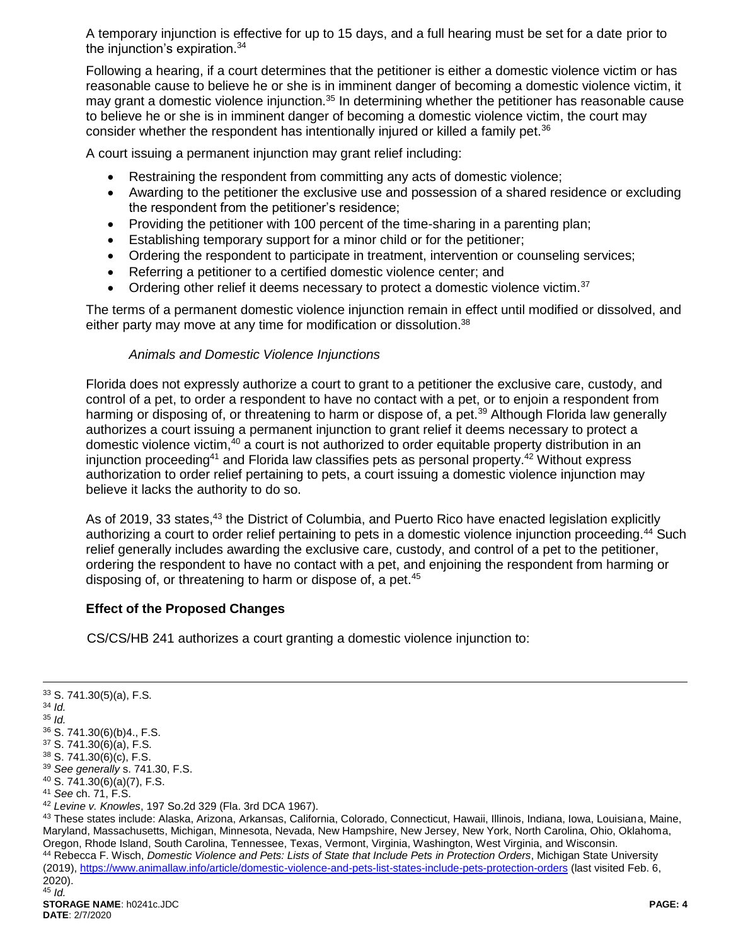A temporary injunction is effective for up to 15 days, and a full hearing must be set for a date prior to the injunction's expiration. 34

Following a hearing, if a court determines that the petitioner is either a domestic violence victim or has reasonable cause to believe he or she is in imminent danger of becoming a domestic violence victim, it may grant a domestic violence injunction.<sup>35</sup> In determining whether the petitioner has reasonable cause to believe he or she is in imminent danger of becoming a domestic violence victim, the court may consider whether the respondent has intentionally injured or killed a family pet.<sup>36</sup>

A court issuing a permanent injunction may grant relief including:

- Restraining the respondent from committing any acts of domestic violence;
- Awarding to the petitioner the exclusive use and possession of a shared residence or excluding the respondent from the petitioner's residence;
- Providing the petitioner with 100 percent of the time-sharing in a parenting plan;
- Establishing temporary support for a minor child or for the petitioner;
- Ordering the respondent to participate in treatment, intervention or counseling services;
- Referring a petitioner to a certified domestic violence center; and
- Ordering other relief it deems necessary to protect a domestic violence victim.<sup>37</sup>

The terms of a permanent domestic violence injunction remain in effect until modified or dissolved, and either party may move at any time for modification or dissolution.<sup>38</sup>

#### *Animals and Domestic Violence Injunctions*

Florida does not expressly authorize a court to grant to a petitioner the exclusive care, custody, and control of a pet, to order a respondent to have no contact with a pet, or to enjoin a respondent from harming or disposing of, or threatening to harm or dispose of, a pet.<sup>39</sup> Although Florida law generally authorizes a court issuing a permanent injunction to grant relief it deems necessary to protect a domestic violence victim,<sup>40</sup> a court is not authorized to order equitable property distribution in an injunction proceeding<sup>41</sup> and Florida law classifies pets as personal property.<sup>42</sup> Without express authorization to order relief pertaining to pets, a court issuing a domestic violence injunction may believe it lacks the authority to do so.

As of 2019, 33 states,<sup>43</sup> the District of Columbia, and Puerto Rico have enacted legislation explicitly authorizing a court to order relief pertaining to pets in a domestic violence injunction proceeding.<sup>44</sup> Such relief generally includes awarding the exclusive care, custody, and control of a pet to the petitioner, ordering the respondent to have no contact with a pet, and enjoining the respondent from harming or disposing of, or threatening to harm or dispose of, a pet.<sup>45</sup>

# **Effect of the Proposed Changes**

CS/CS/HB 241 authorizes a court granting a domestic violence injunction to:

2020).

 $\overline{a}$ 

<sup>33</sup> S. 741.30(5)(a), F.S. <sup>34</sup> *Id.* <sup>35</sup> *Id.*  $36$  S. 741.30(6)(b)4., F.S. <sup>37</sup> S. 741.30(6)(a), F.S. <sup>38</sup> S. 741.30(6)(c), F.S. <sup>39</sup> *See generally* s. 741.30, F.S. <sup>40</sup> S. 741.30(6)(a)(7), F.S. <sup>41</sup> *See* ch. 71, F.S. <sup>42</sup> *Levine v. Knowles*, 197 So.2d 329 (Fla. 3rd DCA 1967). 43 These states include: Alaska, Arizona, Arkansas, California, Colorado, Connecticut, Hawaii, Illinois, Indiana, Iowa, Louisiana, Maine, Maryland, Massachusetts, Michigan, Minnesota, Nevada, New Hampshire, New Jersey, New York, North Carolina, Ohio, Oklahoma, Oregon, Rhode Island, South Carolina, Tennessee, Texas, Vermont, Virginia, Washington, West Virginia, and Wisconsin. <sup>44</sup> Rebecca F. Wisch, *Domestic Violence and Pets: Lists of State that Include Pets in Protection Orders*, Michigan State University (2019), <https://www.animallaw.info/article/domestic-violence-and-pets-list-states-include-pets-protection-orders> (last visited Feb. 6,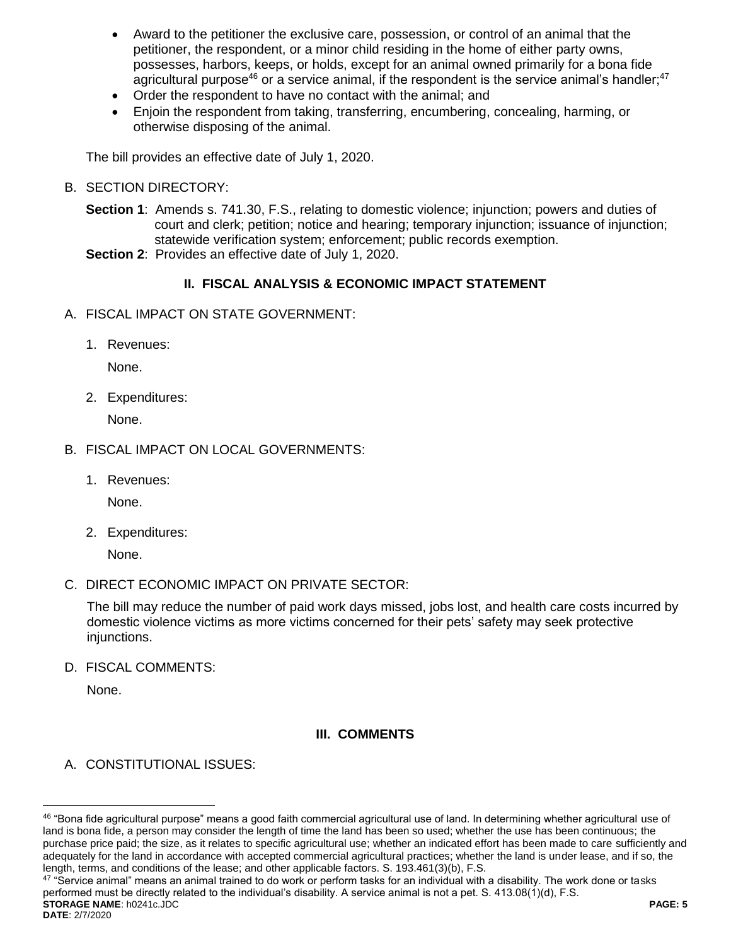- Award to the petitioner the exclusive care, possession, or control of an animal that the petitioner, the respondent, or a minor child residing in the home of either party owns, possesses, harbors, keeps, or holds, except for an animal owned primarily for a bona fide agricultural purpose<sup>46</sup> or a service animal, if the respondent is the service animal's handler;<sup>47</sup>
- Order the respondent to have no contact with the animal; and
- Enjoin the respondent from taking, transferring, encumbering, concealing, harming, or otherwise disposing of the animal.

The bill provides an effective date of July 1, 2020.

B. SECTION DIRECTORY:

**Section 1**: Amends s. 741.30, F.S., relating to domestic violence; injunction; powers and duties of court and clerk; petition; notice and hearing; temporary injunction; issuance of injunction; statewide verification system; enforcement; public records exemption.

**Section 2**: Provides an effective date of July 1, 2020.

# **II. FISCAL ANALYSIS & ECONOMIC IMPACT STATEMENT**

- A. FISCAL IMPACT ON STATE GOVERNMENT:
	- 1. Revenues:

None.

2. Expenditures:

None.

- B. FISCAL IMPACT ON LOCAL GOVERNMENTS:
	- 1. Revenues:

None.

2. Expenditures:

None.

C. DIRECT ECONOMIC IMPACT ON PRIVATE SECTOR:

The bill may reduce the number of paid work days missed, jobs lost, and health care costs incurred by domestic violence victims as more victims concerned for their pets' safety may seek protective injunctions.

D. FISCAL COMMENTS:

None.

 $\overline{a}$ 

# **III. COMMENTS**

A. CONSTITUTIONAL ISSUES:

**STORAGE NAME**: h0241c.JDC **PAGE: 5 DATE**: 2/7/2020 47 "Service animal" means an animal trained to do work or perform tasks for an individual with a disability. The work done or tasks performed must be directly related to the individual's disability. A service animal is not a pet. S. 413.08(1)(d), F.S.

<sup>46 &</sup>quot;Bona fide agricultural purpose" means a good faith commercial agricultural use of land. In determining whether agricultural use of land is bona fide, a person may consider the length of time the land has been so used; whether the use has been continuous; the purchase price paid; the size, as it relates to specific agricultural use; whether an indicated effort has been made to care sufficiently and adequately for the land in accordance with accepted commercial agricultural practices; whether the land is under lease, and if so, the length, terms, and conditions of the lease; and other applicable factors. S. 193.461(3)(b), F.S.